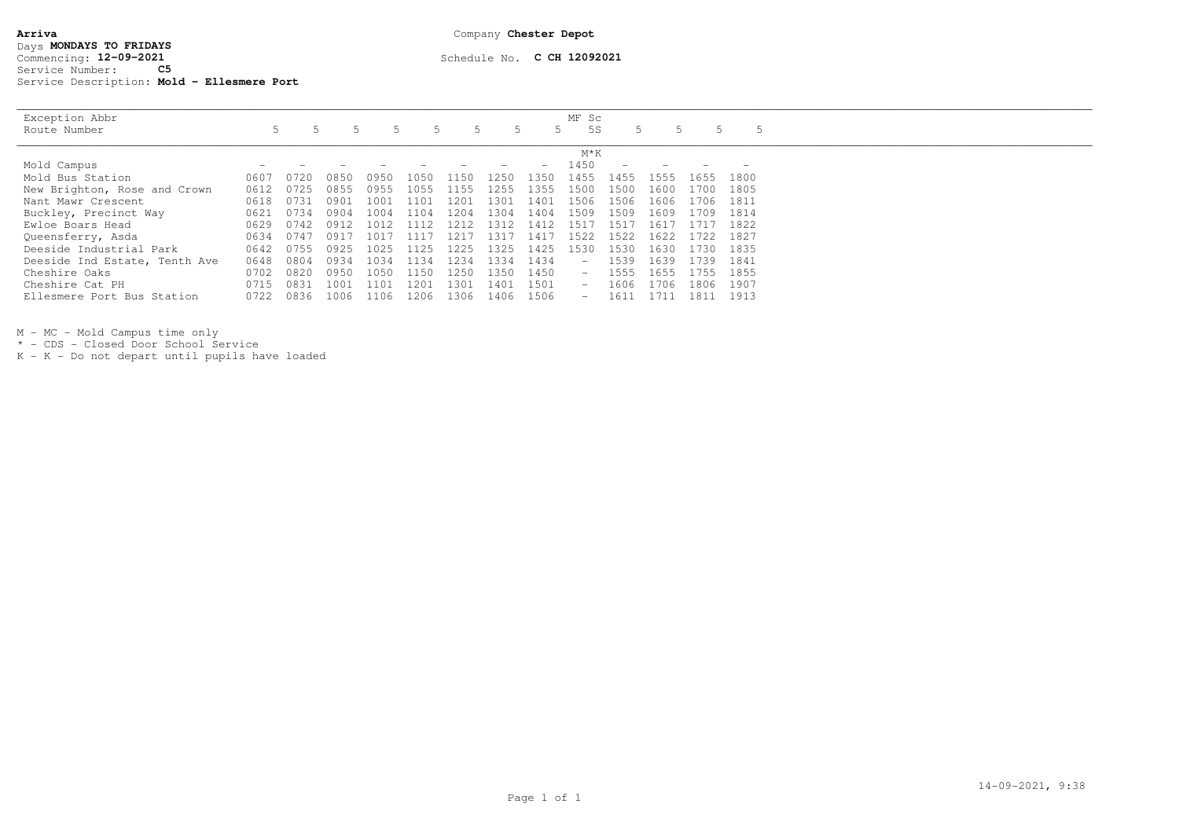| Exception Abbr                |      |      |      |       |      |       |      |          | MF Sc                    |      |          |       |      |  |
|-------------------------------|------|------|------|-------|------|-------|------|----------|--------------------------|------|----------|-------|------|--|
| Route Number                  |      |      |      |       |      |       |      |          | 5 S                      |      |          |       |      |  |
|                               |      |      |      |       |      |       |      |          | $M*K$                    |      |          |       |      |  |
| Mold Campus                   |      |      |      |       |      |       |      |          | 1450                     |      |          |       |      |  |
| Mold Bus Station              | 0607 | 0720 | 0850 | 0950. | 1050 | .150  | 1250 | 1350     | 1455                     | 1455 | 555      | 1655  | 1800 |  |
| New Brighton, Rose and Crown  | 0612 | 0725 | 0855 | 0955  | 1055 | 1.155 | 1255 | 1355     | 1500                     | 1500 | 1600     | 1700  | 1805 |  |
| Nant Mawr Crescent            | 0618 | 0731 | 0901 | 1001  | 1101 | 1201  | 1301 | 1401     | 1506                     | 1506 | 1606     | 1706. | 1811 |  |
| Buckley, Precinct Way         | 0621 | 0734 | 0904 | 1004  | 1104 | 1204  | 1304 | 1404     | 1509                     | 1509 | 1609     | 1709. | 1814 |  |
| Ewloe Boars Head              | 0629 | 0742 | 0912 | 101.  |      | 21    | 1312 | 141      | 51                       | -51  | $h \cap$ |       | 1822 |  |
| Queensferry, Asda             | 0634 | 0747 | 0917 | 101.  | 1117 | 121   | 1317 | $-141.7$ | 1522                     | 1522 | 1622     | 1722. | 1827 |  |
| Deeside Industrial Park       | 0642 | 0755 | 0925 | 1025  | 1125 | 1225  | 1325 | 1425     | 1530                     | 1530 | 1630     | 1730  | 1835 |  |
| Deeside Ind Estate, Tenth Ave | 0648 | 0804 | 0934 | 1034  | 1134 | 1234  | 1334 | 1434     | $\overline{\phantom{m}}$ | 1539 | 1639     | 1739  | 1841 |  |
| Cheshire Oaks                 | 0702 | 0820 | 0950 | 1050  | 150  | 250   | 1350 | 1450     |                          | 1555 | 1655     | 755   | 1855 |  |
| Cheshire Cat PH               |      | 0831 | 1001 | 1101  | 1201 | 1301  | 1401 | 1501     | $\overline{\phantom{a}}$ | 1606 | ı 706    | 1806  | 1907 |  |
| Ellesmere Port Bus Station    | 0722 | 0836 | 1006 | 1106  | 1206 | 1306  | 1406 | 1506     | $\overline{\phantom{a}}$ | 1611 |          | 1811  | 1913 |  |

M - MC - Mold Campus time only

\* - CDS - Closed Door School Service

K - K - Do not depart until pupils have loaded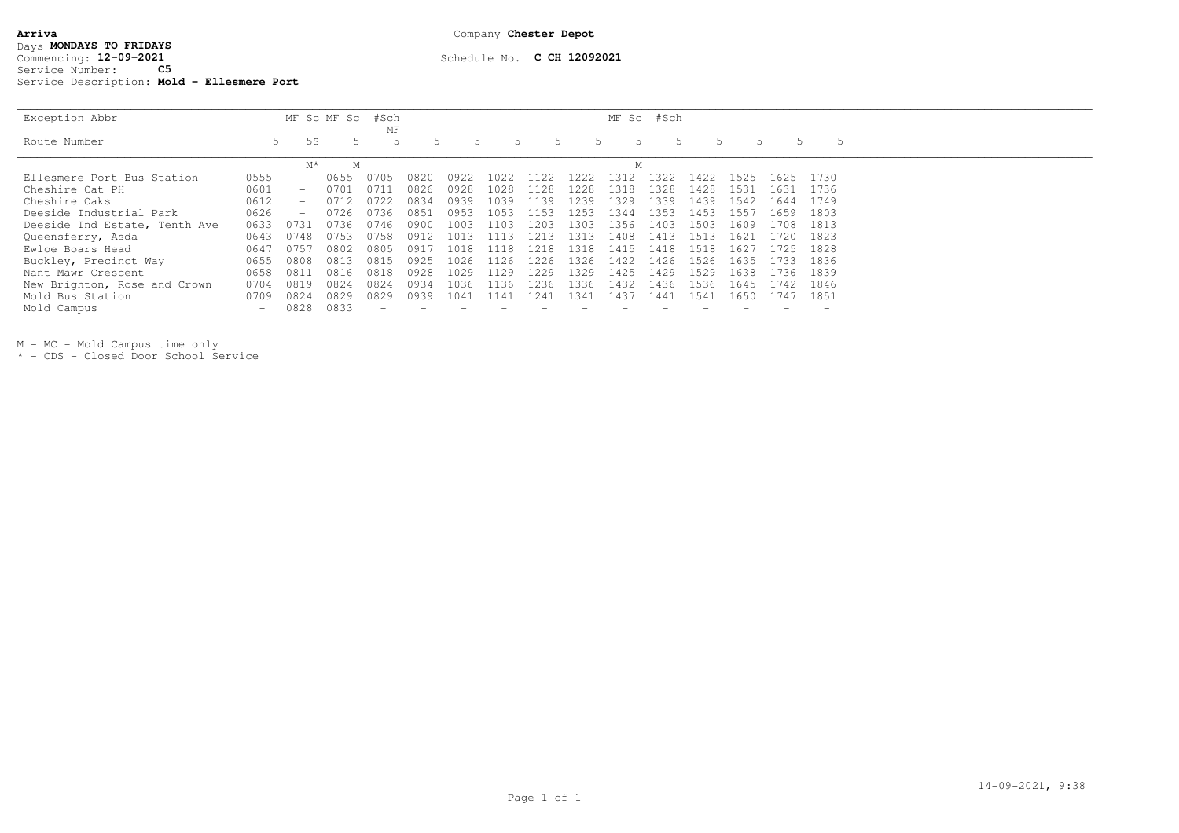| Arriva |                                            |     |  |  |  |  |  |  |  |
|--------|--------------------------------------------|-----|--|--|--|--|--|--|--|
|        | Days MONDAYS TO FRIDAYS                    |     |  |  |  |  |  |  |  |
|        | Commencing: 12-09-2021                     |     |  |  |  |  |  |  |  |
|        | Service Number:                            | C5. |  |  |  |  |  |  |  |
|        | Service Description: Mold - Ellesmere Port |     |  |  |  |  |  |  |  |

## Schedule No. **C CH 12092021**

| Exception Abbr                |      |                              | MF Sc MF Sc | #Sch<br>ΜF  |      |      |       |       |      |      | MF Sc #Sch |      |      |      |      |
|-------------------------------|------|------------------------------|-------------|-------------|------|------|-------|-------|------|------|------------|------|------|------|------|
| Route Number                  |      | 5 S<br>5.                    |             |             |      |      |       |       |      | .5   |            |      |      |      | .5   |
|                               |      | M*                           | М           |             |      |      |       |       |      | М    |            |      |      |      |      |
| Ellesmere Port Bus Station    | 0555 |                              | 0655        |             | 0820 | 0922 | 1022. | 122   | .222 | 1312 | 322        | 1422 | 1525 | 1625 | 1730 |
| Cheshire Cat PH               | 0601 | $\qquad \qquad \blacksquare$ | 0701        | 0711        | 0826 | 0928 | 1028  | 1128  | 1228 | 1318 | 1328       | 1428 | 1531 | 1631 | 1736 |
| Cheshire Oaks                 | 0612 |                              |             | 0722        | 0834 | 0939 | 1039  | 1139  | .239 | 1329 | 1339       | 1439 | 1542 | 1644 | 1749 |
| Deeside Industrial Park       | 0626 |                              | 0726        | 0736        | 0851 | 0953 | 1053  | 1153  | .253 | 1344 | 1353       | 1453 | 1557 | 1659 | 1803 |
| Deeside Ind Estate, Tenth Ave | 0633 | 0731                         | 0736        | 0746        | 0900 | 1003 | 1103  | 1203  | .303 | 1356 | 1403       | 1503 | 1609 | 1708 | 1813 |
| Queensferry, Asda             | 0643 | 0748                         | 0753        | 0758        | 0912 | 1013 | צווו  | 1213  | -313 | 1408 | 1413       | 1513 | 1621 | 1720 | 1823 |
| Ewloe Boars Head              | 064  | (1.75)                       | 0802        | 0805        | 091  | 1018 | 1118  | 1218  | 1318 | 1415 | 1418       | 1518 | 1627 | 1725 | 1828 |
| Buckley, Precinct Way         | 0655 | 0808                         | 0813        | 081         | 0925 | 1026 | 1126  | 1226  | 326  | 1422 | 1426       | 1526 | 1635 | 1733 | 1836 |
| Nant Mawr Crescent            | 0658 | 0811                         | 0816        | $181\times$ | 0928 | 1029 | 1129  | 1229  | 329  | 1425 | 1429       | 1529 | 1638 | 1736 | 1839 |
| New Brighton, Rose and Crown  | 0704 | 0819                         | 0824        | 0824        | 0934 | 1036 | 1136  | 1236  | 336  | 1432 | 1436       | 1536 | 1645 | 1742 | 1846 |
| Mold Bus Station              | 0709 | 0824                         | 0829        | 0829        | 0939 | 1041 | 1141  | l 241 | .341 | 143. | 1441       | 154  | 1650 | 1747 | 1851 |
| Mold Campus                   |      | 0828                         | 0833        |             |      |      |       |       |      |      |            |      |      |      |      |

M - MC - Mold Campus time only \* - CDS - Closed Door School Service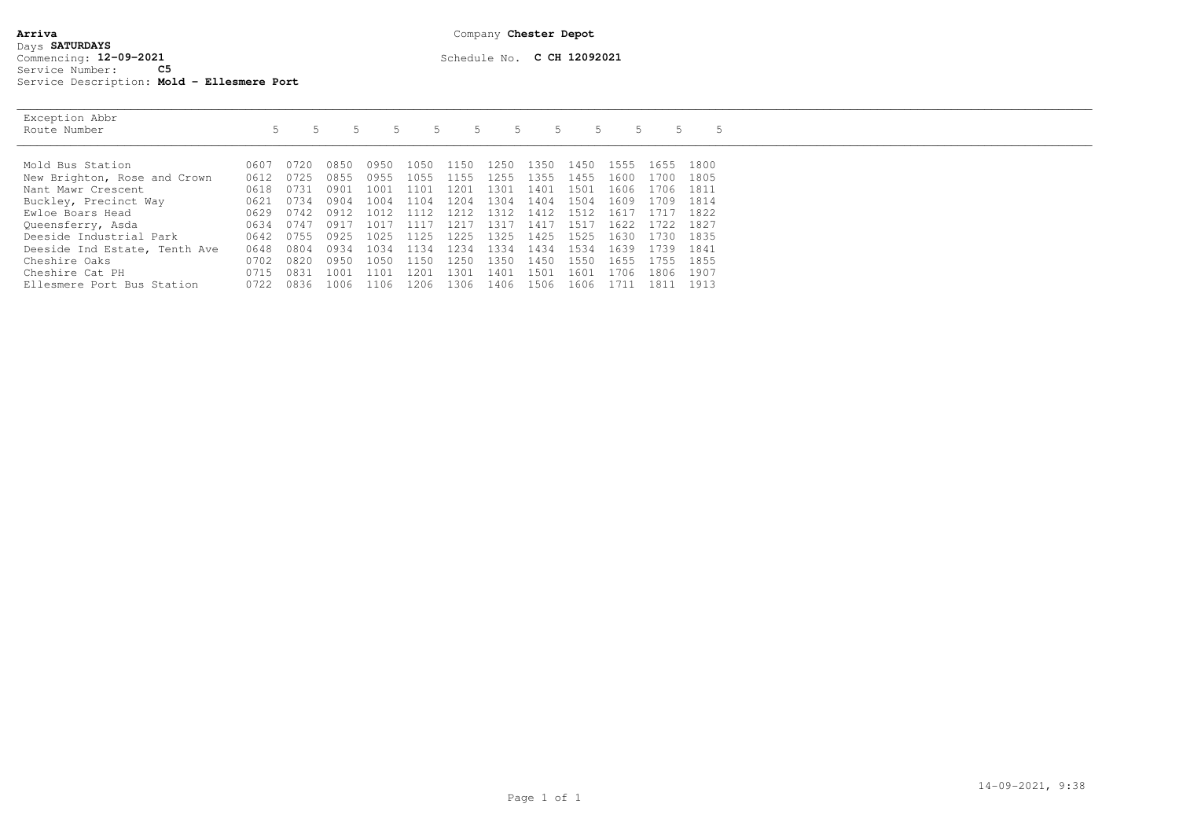## **Arriva** Company **Chester Depot**Days **SATURDAYS** Commencing: 12-09-2021 Service Number: **C5**Service Description: **Mold - Ellesmere Port**

Exception Abbr  $\overline{a}$ Route Number<br>
1991 - 1991 - 1992 10607 10720 10850 10950 1050 1150 1250 1350 1450 1555 1655 1800<br>
Mold Bus Station 1993 10607 0720 0850 0950 1050 1150 1250 1350 1450 1555 1655 1800 1805 New Brighton, Rose and Crown 0612 0725 0855 0955 1055 1155 1255 1355 1455 1600 1700 Nant Mawr Crescent 0618 0731 0901 1001 1101 1201 1301 1401 1501 1606 1706 1811 Buckley, Precinct Way 0621 0734 0904 1004 1104 1204 1304 1404 1504 1609 1709 1814 Ewloe Boars Head 0629 0742 0912 1012 1112 1212 1312 1412 1512 1617 1717 1822 Queensferry, Asda 0634 0747 0917 1017 1117 1217 1317 1417 1517 1622 1722 1827 Deeside Industrial Park 0642 0755 0925 1025 1125 1225 1325 1425 1525 1630 1730 1835 Deeside Ind Estate, Tenth Ave 0648 0804 0934 1034 1134 1234 1334 1434 1534 1639 1739 1841 Cheshire Oaks 0702 0820 0950 1050 1150 1250 1350 1450 1550 1655 1755 1855 Cheshire Cat PH 0715 0831 1001 1101 1201 1301 1401 1501 1601 1706 1806 1907

Ellesmere Port Bus Station 0722 0836 1006 1106 1206 1306 1406 1506 1606 1711 1811 1913